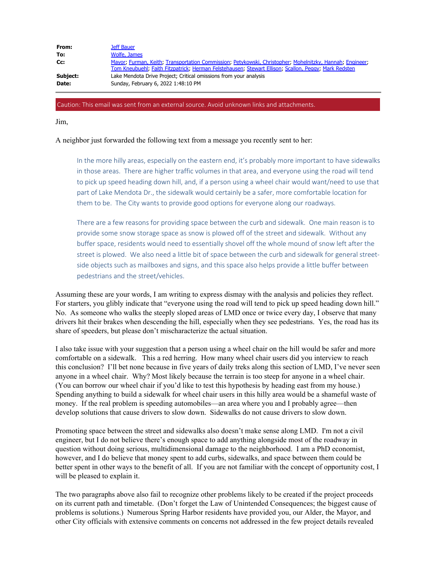| From:    | Jeff Bauer                                                                                                                                                                                                       |
|----------|------------------------------------------------------------------------------------------------------------------------------------------------------------------------------------------------------------------|
| To:      | Wolfe, James                                                                                                                                                                                                     |
| Cc:      | Mayor; Furman, Keith; Transportation Commission; Petykowski, Christopher; Mohelnitzky, Hannah; Engineer;<br>Tom Kneubuehl; Faith Fitzpatrick; Herman Felstehausen; Stewart Ellison; Scallon, Peggy; Mark Redsten |
| Subject: | Lake Mendota Drive Project; Critical omissions from your analysis                                                                                                                                                |
| Date:    | Sunday, February 6, 2022 1:48:10 PM                                                                                                                                                                              |
|          |                                                                                                                                                                                                                  |

## Caution: This email was sent from an external source. Avoid unknown links and attachments.

Jim,

## A neighbor just forwarded the following text from a message you recently sent to her:

In the more hilly areas, especially on the eastern end, it's probably more important to have sidewalks in those areas. There are higher traffic volumes in that area, and everyone using the road will tend to pick up speed heading down hill, and, if a person using a wheel chair would want/need to use that part of Lake Mendota Dr., the sidewalk would certainly be a safer, more comfortable location for them to be. The City wants to provide good options for everyone along our roadways.

There are a few reasons for providing space between the curb and sidewalk. One main reason is to provide some snow storage space as snow is plowed off of the street and sidewalk. Without any buffer space, residents would need to essentially shovel off the whole mound of snow left after the street is plowed. We also need a little bit of space between the curb and sidewalk for general streetside objects such as mailboxes and signs, and this space also helps provide a little buffer between pedestrians and the street/vehicles.

Assuming these are your words, I am writing to express dismay with the analysis and policies they reflect. For starters, you glibly indicate that "everyone using the road will tend to pick up speed heading down hill." No. As someone who walks the steeply sloped areas of LMD once or twice every day, I observe that many drivers hit their brakes when descending the hill, especially when they see pedestrians. Yes, the road has its share of speeders, but please don't mischaracterize the actual situation.

I also take issue with your suggestion that a person using a wheel chair on the hill would be safer and more comfortable on a sidewalk. This a red herring. How many wheel chair users did you interview to reach this conclusion? I'll bet none because in five years of daily treks along this section of LMD, I've never seen anyone in a wheel chair. Why? Most likely because the terrain is too steep for anyone in a wheel chair. (You can borrow our wheel chair if you'd like to test this hypothesis by heading east from my house.) Spending anything to build a sidewalk for wheel chair users in this hilly area would be a shameful waste of money. If the real problem is speeding automobiles—an area where you and I probably agree—then develop solutions that cause drivers to slow down. Sidewalks do not cause drivers to slow down.

Promoting space between the street and sidewalks also doesn't make sense along LMD. I'm not a civil engineer, but I do not believe there's enough space to add anything alongside most of the roadway in question without doing serious, multidimensional damage to the neighborhood. I am a PhD economist, however, and I do believe that money spent to add curbs, sidewalks, and space between them could be better spent in other ways to the benefit of all. If you are not familiar with the concept of opportunity cost, I will be pleased to explain it.

The two paragraphs above also fail to recognize other problems likely to be created if the project proceeds on its current path and timetable. (Don't forget the Law of Unintended Consequences; the biggest cause of problems is solutions.) Numerous Spring Harbor residents have provided you, our Alder, the Mayor, and other City officials with extensive comments on concerns not addressed in the few project details revealed